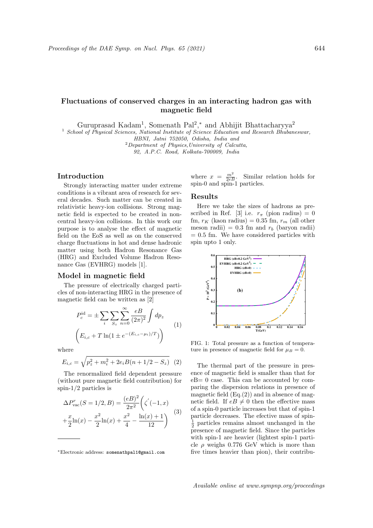# Fluctuations of conserved charges in an interacting hadron gas with magnetic field

Guruprasad Kadam<sup>1</sup>, Somenath Pal<sup>2</sup>,<sup>\*</sup> and Abhijit Bhattacharyya<sup>2</sup>

<sup>1</sup> School of Physical Sciences, National Institute of Science Education and Research Bhubaneswar,

HBNI, Jatni 752050, Odisha, India and

 $2$ Department of Physics, University of Calcutta,

92, A.P.C. Road, Kolkata-700009, India

## Introduction

Strongly interacting matter under extreme conditions is a vibrant area of research for several decades. Such matter can be created in relativistic heavy-ion collisions. Strong magnetic field is expected to be created in noncentral heavy-ion collisions. In this work our purpose is to analyse the effect of magnetic field on the EoS as well as on the conserved charge fluctuations in hot and dense hadronic matter using both Hadron Resonance Gas (HRG) and Excluded Volume Hadron Resonance Gas (EVHRG) models [1].

### Model in magnetic field

The pressure of electrically charged particles of non-interacting HRG in the presence of magnetic field can be written as [2]

$$
P_c^{\text{id}} = \pm \sum_{i} \sum_{S_z} \sum_{n=0}^{\infty} \frac{eB}{(2\pi)^2} \int dp_z
$$
  

$$
\left( E_{i,c} + T \ln(1 \pm e^{-(E_{i,c} - \mu_i)/T}) \right)
$$
 (1)

where

$$
E_{i,c} = \sqrt{p_z^2 + m_i^2 + 2e_i B(n + 1/2 - S_z)}
$$
 (2)

The renormalized field dependent pressure (without pure magnetic field contribution) for spin-1/2 particles is

$$
\Delta P_{\text{vac}}^r(S=1/2, B) = \frac{(eB)^2}{2\pi^2} \left(\zeta'(-1, x) + \frac{x}{2}\ln(x) - \frac{x^2}{2}\ln(x) + \frac{x^2}{4} - \frac{\ln(x) + 1}{12}\right)
$$
(3)

where  $x = \frac{m^2}{2eB}$ . Similar relation holds for spin-0 and spin-1 particles.

#### Results

Here we take the sizes of hadrons as prescribed in Ref. [3] i.e.  $r_{\pi}$  (pion radius) = 0 fm,  $r_K$  (kaon radius) = 0.35 fm,  $r_m$  (all other meson radii) =  $0.3$  fm and  $r_b$  (baryon radii)  $= 0.5$  fm. We have considered particles with spin upto 1 only.



FIG. 1: Total pressure as a function of temperature in presence of magnetic field for  $\mu_B = 0$ .

The thermal part of the pressure in presence of magnetic field is smaller than that for eB= 0 case. This can be accounted by comparing the dispersion relations in presence of magnetic field  $(Eq.(2))$  and in absence of magnetic field. If  $eB \neq 0$  then the effective mass of a spin-0 particle increases but that of spin-1 particle decreases. The efective mass of spin- $\frac{1}{2}$  particles remains almost unchanged in the presence of magnetic field. Since the particles with spin-1 are heavier (lightest spin-1 particle  $\rho$  weighs 0.776 GeV which is more than five times heavier than pion), their contribu-

<sup>∗</sup>Electronic address: somenathpal1@gmail.com